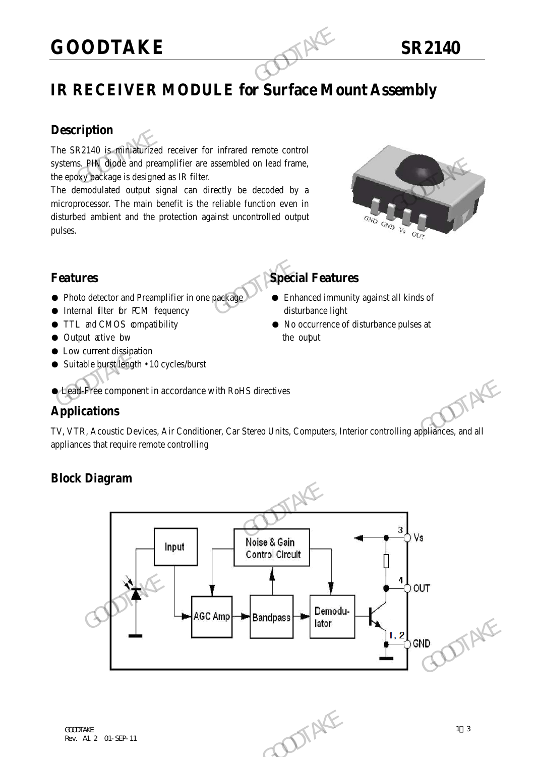## **GOODTAKE SR2140**

### **IR RECEIVER MODULE for Surface Mount Assembly**

#### **Description**

The SR2140 is miniaturized receiver for infrared remote control systems. PIN diode and preamplifier are assembled on lead frame, the epoxy package is designed as IR filter.

The demodulated output signal can directly be decoded by a microprocessor. The main benefit is the reliable function even in disturbed ambient and the protection against uncontrolled output pulses. GOODTAKE<br>
IR RECEIVER MODULE for Surface Mo<br>
Description<br>
The SR2140 is miniadurized receiver for infrared remote control<br>
systems. PIN diode and preamplifier are assembled on lead frame,<br>
the epoxypackage is designed as I systems. PIN diode and preamplifier are assembled on lead frame,<br>the epoxybackage is designed as IR filter.<br>The demodulated output signal can directly be decoded by a<br>microprocessor. The main benefit is the reliable funct



#### **Features Special Features**

- Photo detector and Preamplifier in one package → Enhanced immunity against all kinds of
- Internal filter for PCM frequency disturbance light
- TTL and CMOS compatibility No occurrence of disturbance pulses at
- Output active bw the output
- Low current dissipation
- Suitable burst length 10 cycles/burst

#### ● Lead-Free component in accordance with RoHS directives

#### **Applications**

TV, VTR, Acoustic Devices, Air Conditioner, Car Stereo Units, Computers, Interior controlling appliances, and all appliances that require remote controlling

#### **Block Diagram**

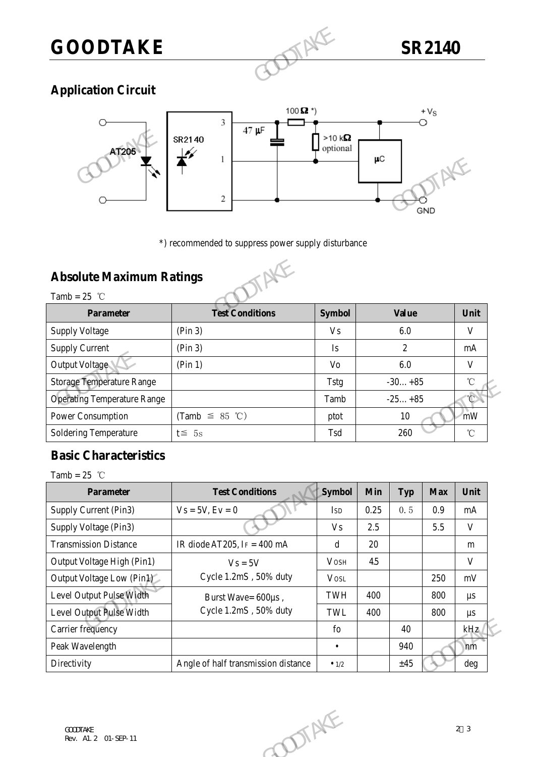# **GOODTAKE SR2140**

#### **Application Circuit**



#### **Absolute Maximum Ratings**



|                                                   | 2                                                   |                | μC<br>GND      |                                  |
|---------------------------------------------------|-----------------------------------------------------|----------------|----------------|----------------------------------|
| <b>Absolute Maximum Ratings</b><br>Tamb = $25$ °C | *) recommended to suppress power supply disturbance |                |                |                                  |
| <b>Parameter</b>                                  | <b>Test Conditions</b>                              | <b>Symbol</b>  | <b>Value</b>   | Unit                             |
| <b>Supply Voltage</b>                             | (Pin 3)                                             | <b>Vs</b>      | 6.0            | V                                |
|                                                   |                                                     |                |                |                                  |
| <b>Supply Current</b>                             | (Pin 3)                                             | <b>Is</b>      | $\overline{2}$ |                                  |
| Output Voltage                                    | (Pin 1)                                             | V <sub>o</sub> | 6.0            |                                  |
| <b>Storage Temperature Range</b>                  |                                                     | <b>Tstg</b>    | $-30+85$       |                                  |
| <b>Operating Temperature Range</b>                |                                                     | Tamb           | $-25+85$       |                                  |
| Power Consumption                                 | (Tamb $\leq$ 85 °C)                                 | ptot           | 10             | mA<br>V<br>$\rm ^{\circ}C$<br>mW |

#### **Basic Characteristics**

| Storage Temperature Range          |                                     | Tstg          |                       | $-30+85$   |                   | U            |
|------------------------------------|-------------------------------------|---------------|-----------------------|------------|-------------------|--------------|
| <b>Operating Temperature Range</b> |                                     | Tamb          | $-25+85$<br>10<br>260 |            |                   |              |
| Power Consumption                  | (Tamb $\leq 85$ °C)                 | ptot          |                       |            | mW                |              |
| Soldering Temperature              | $t \leq 5s$                         | Tsd           |                       |            | $^\circ\!{\rm C}$ |              |
| <b>Basic Characteristics</b>       |                                     |               |                       |            |                   |              |
| Tamb = $25$ °C                     |                                     |               |                       |            |                   |              |
| <b>Parameter</b>                   | <b>Test Conditions</b>              | Symbol        | Min                   | <b>Typ</b> | <b>Max</b>        | Unit         |
| Supply Current (Pin3)              | $Vs = 5V, Ev = 0$                   | <b>ISD</b>    | 0.25                  | 0.5        | 0.9               | mA           |
| Supply Voltage (Pin3)              |                                     | <b>Vs</b>     | 2.5                   |            | 5.5               | $\mathbf{V}$ |
| <b>Transmission Distance</b>       | IR diode AT205, I $F = 400$ mA      | d             | 20                    |            |                   | m            |
| Output Voltage High (Pin1)         | $Vs = 5V$                           | <b>VOSH</b>   | 4.5                   |            |                   | $\mathbf{V}$ |
| Output Voltage Low (Pin1)          | Cycle 1.2mS, 50% duty               | <b>VOSL</b>   |                       |            | 250               | mV           |
| Level Output Pulse Width           | Burst Wave= 600µs,                  | TWH           | 400                   |            | 800               | $\mu s$      |
| Level Output Pulse Width           | Cycle 1.2mS, 50% duty               | TWL           | 400                   |            | 800               | $\mu s$      |
| Carrier frequency                  |                                     | ${\rm fo}$    |                       | 40         |                   | kHz          |
| Peak Wavelength                    |                                     | $\bullet$     |                       | 940        |                   | nm           |
| Directivity                        | Angle of half transmission distance | $\bullet$ 1/2 |                       | ±45        |                   | deg          |